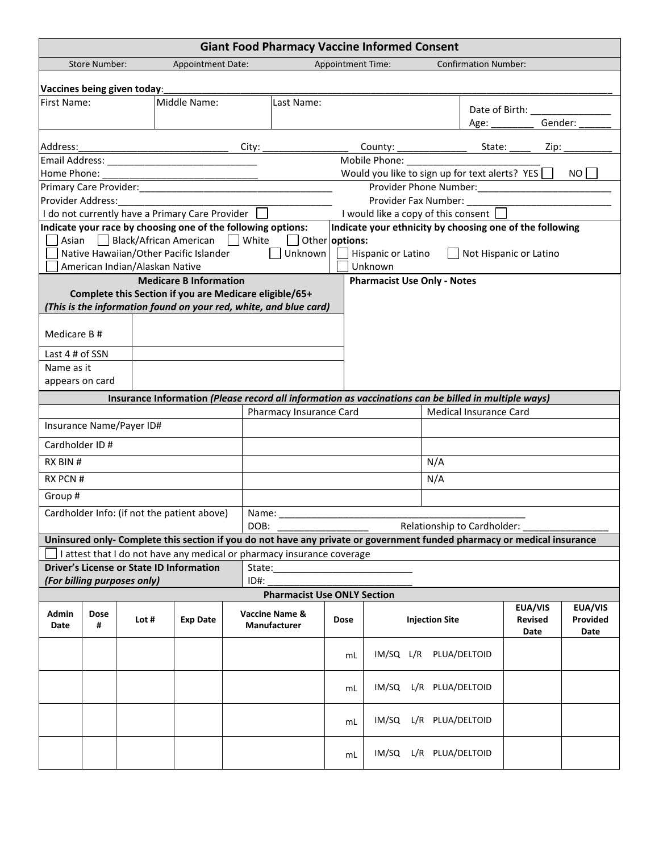| <b>Giant Food Pharmacy Vaccine Informed Consent</b>                                                                                                                                                                                                                                                                                           |           |                             |                                                                                                                |         |                                                                                                              |      |                                    |                        |                                          |  |                                    |  |
|-----------------------------------------------------------------------------------------------------------------------------------------------------------------------------------------------------------------------------------------------------------------------------------------------------------------------------------------------|-----------|-----------------------------|----------------------------------------------------------------------------------------------------------------|---------|--------------------------------------------------------------------------------------------------------------|------|------------------------------------|------------------------|------------------------------------------|--|------------------------------------|--|
| Store Number:<br>Appointment Date:                                                                                                                                                                                                                                                                                                            |           |                             |                                                                                                                |         | <b>Appointment Time:</b>                                                                                     |      |                                    |                        | <b>Confirmation Number:</b>              |  |                                    |  |
| Vaccines being given today:                                                                                                                                                                                                                                                                                                                   |           |                             |                                                                                                                |         |                                                                                                              |      |                                    |                        |                                          |  |                                    |  |
| First Name:                                                                                                                                                                                                                                                                                                                                   |           |                             | Middle Name:                                                                                                   |         | Last Name:                                                                                                   |      |                                    |                        |                                          |  |                                    |  |
|                                                                                                                                                                                                                                                                                                                                               |           |                             |                                                                                                                |         |                                                                                                              |      | Date of Birth:<br>Age:             |                        | Gender:                                  |  |                                    |  |
|                                                                                                                                                                                                                                                                                                                                               |           |                             |                                                                                                                |         |                                                                                                              |      |                                    |                        |                                          |  |                                    |  |
| Address:                                                                                                                                                                                                                                                                                                                                      |           |                             |                                                                                                                |         | City:<br>County:                                                                                             |      |                                    | State:<br>Zip:         |                                          |  |                                    |  |
| Home Phone:                                                                                                                                                                                                                                                                                                                                   |           |                             |                                                                                                                |         | Mobile Phone:                                                                                                |      |                                    |                        | NO I                                     |  |                                    |  |
|                                                                                                                                                                                                                                                                                                                                               |           |                             | Primary Care Provider: Note that the state of the state of the state of the state of the state of the state of |         | Would you like to sign up for text alerts? $YES$<br>Provider Phone Number: Management Provider Phone Number: |      |                                    |                        |                                          |  |                                    |  |
| Provider Address:                                                                                                                                                                                                                                                                                                                             |           |                             |                                                                                                                |         |                                                                                                              |      |                                    |                        |                                          |  |                                    |  |
|                                                                                                                                                                                                                                                                                                                                               |           |                             | I do not currently have a Primary Care Provider                                                                |         | I would like a copy of this consent                                                                          |      |                                    |                        |                                          |  |                                    |  |
| Indicate your race by choosing one of the following options:<br>Indicate your ethnicity by choosing one of the following<br>Asian   Black/African American   White<br>$\Box$ Other options:<br>Unknown<br>Native Hawaiian/Other Pacific Islander<br>Hispanic or Latino<br>Not Hispanic or Latino<br>American Indian/Alaskan Native<br>Unknown |           |                             |                                                                                                                |         |                                                                                                              |      |                                    |                        |                                          |  |                                    |  |
|                                                                                                                                                                                                                                                                                                                                               |           |                             | <b>Medicare B Information</b><br>Complete this Section if you are Medicare eligible/65+                        |         |                                                                                                              |      | <b>Pharmacist Use Only - Notes</b> |                        |                                          |  |                                    |  |
|                                                                                                                                                                                                                                                                                                                                               |           |                             | (This is the information found on your red, white, and blue card)                                              |         |                                                                                                              |      |                                    |                        |                                          |  |                                    |  |
|                                                                                                                                                                                                                                                                                                                                               |           |                             |                                                                                                                |         |                                                                                                              |      |                                    |                        |                                          |  |                                    |  |
| Medicare B#                                                                                                                                                                                                                                                                                                                                   |           |                             |                                                                                                                |         |                                                                                                              |      |                                    |                        |                                          |  |                                    |  |
| Last 4 # of SSN                                                                                                                                                                                                                                                                                                                               |           |                             |                                                                                                                |         |                                                                                                              |      |                                    |                        |                                          |  |                                    |  |
| Name as it                                                                                                                                                                                                                                                                                                                                    |           |                             |                                                                                                                |         |                                                                                                              |      |                                    |                        |                                          |  |                                    |  |
| appears on card                                                                                                                                                                                                                                                                                                                               |           |                             |                                                                                                                |         |                                                                                                              |      |                                    |                        |                                          |  |                                    |  |
| Insurance Information (Please record all information as vaccinations can be billed in multiple ways)                                                                                                                                                                                                                                          |           |                             |                                                                                                                |         |                                                                                                              |      |                                    |                        |                                          |  |                                    |  |
|                                                                                                                                                                                                                                                                                                                                               |           |                             |                                                                                                                |         | Pharmacy Insurance Card                                                                                      |      |                                    | Medical Insurance Card |                                          |  |                                    |  |
|                                                                                                                                                                                                                                                                                                                                               |           | Insurance Name/Payer ID#    |                                                                                                                |         |                                                                                                              |      |                                    |                        |                                          |  |                                    |  |
| Cardholder ID #                                                                                                                                                                                                                                                                                                                               |           |                             |                                                                                                                |         |                                                                                                              |      |                                    |                        |                                          |  |                                    |  |
| RX BIN #                                                                                                                                                                                                                                                                                                                                      |           |                             |                                                                                                                |         |                                                                                                              | N/A  |                                    |                        |                                          |  |                                    |  |
| RX PCN #                                                                                                                                                                                                                                                                                                                                      |           |                             |                                                                                                                |         | N/A                                                                                                          |      |                                    |                        |                                          |  |                                    |  |
| Group #                                                                                                                                                                                                                                                                                                                                       |           |                             |                                                                                                                |         |                                                                                                              |      |                                    |                        |                                          |  |                                    |  |
| Cardholder Info: (if not the patient above)<br>Name:                                                                                                                                                                                                                                                                                          |           |                             |                                                                                                                |         |                                                                                                              |      |                                    |                        |                                          |  |                                    |  |
| DOB:<br>Relationship to Cardholder:<br>Uninsured only- Complete this section if you do not have any private or government funded pharmacy or medical insurance                                                                                                                                                                                |           |                             |                                                                                                                |         |                                                                                                              |      |                                    |                        |                                          |  |                                    |  |
|                                                                                                                                                                                                                                                                                                                                               |           |                             | I attest that I do not have any medical or pharmacy insurance coverage                                         |         |                                                                                                              |      |                                    |                        |                                          |  |                                    |  |
|                                                                                                                                                                                                                                                                                                                                               |           |                             | Driver's License or State ID Information                                                                       | State:  |                                                                                                              |      |                                    |                        |                                          |  |                                    |  |
|                                                                                                                                                                                                                                                                                                                                               |           | (For billing purposes only) |                                                                                                                | $ID#$ : |                                                                                                              |      |                                    |                        |                                          |  |                                    |  |
|                                                                                                                                                                                                                                                                                                                                               |           |                             |                                                                                                                |         | <b>Pharmacist Use ONLY Section</b>                                                                           |      |                                    |                        |                                          |  |                                    |  |
| Admin<br>Date                                                                                                                                                                                                                                                                                                                                 | Dose<br># | Lot #                       | <b>Exp Date</b>                                                                                                |         | Vaccine Name &<br>Manufacturer                                                                               | Dose | <b>Injection Site</b>              |                        | <b>EUA/VIS</b><br><b>Revised</b><br>Date |  | <b>EUA/VIS</b><br>Provided<br>Date |  |
|                                                                                                                                                                                                                                                                                                                                               |           |                             |                                                                                                                |         |                                                                                                              | mL   | IM/SQ L/R PLUA/DELTOID             |                        |                                          |  |                                    |  |
|                                                                                                                                                                                                                                                                                                                                               |           |                             |                                                                                                                |         |                                                                                                              | mL   | IM/SQ L/R PLUA/DELTOID             |                        |                                          |  |                                    |  |
|                                                                                                                                                                                                                                                                                                                                               |           |                             |                                                                                                                |         |                                                                                                              | mL   | IM/SQ L/R PLUA/DELTOID             |                        |                                          |  |                                    |  |
|                                                                                                                                                                                                                                                                                                                                               |           |                             |                                                                                                                |         |                                                                                                              | mL   | IM/SQ L/R PLUA/DELTOID             |                        |                                          |  |                                    |  |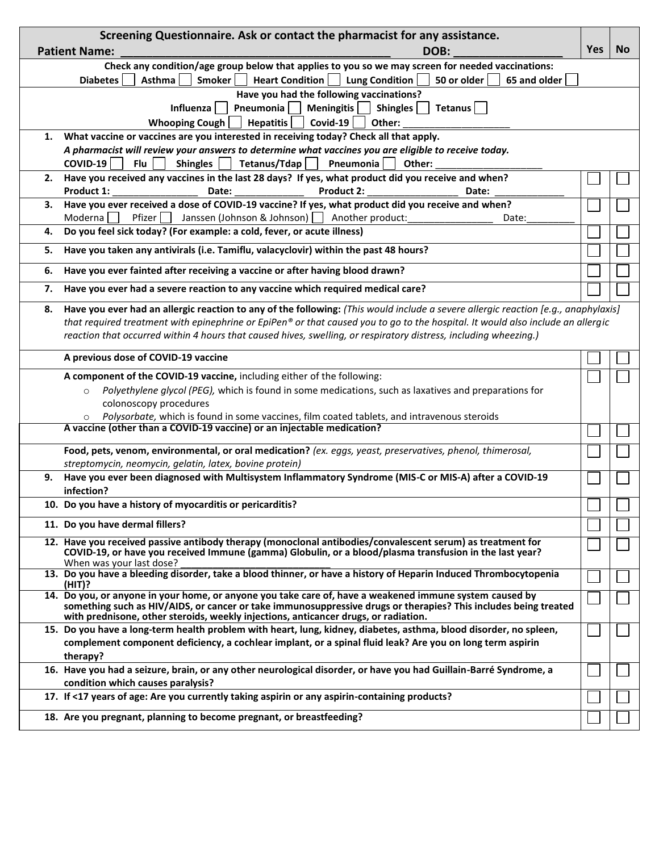|                                                                                             | Screening Questionnaire. Ask or contact the pharmacist for any assistance.                                                                                                                                                                                            |  |  |  |  |  |
|---------------------------------------------------------------------------------------------|-----------------------------------------------------------------------------------------------------------------------------------------------------------------------------------------------------------------------------------------------------------------------|--|--|--|--|--|
| <b>Yes</b><br>DOB:<br><b>Patient Name:</b>                                                  |                                                                                                                                                                                                                                                                       |  |  |  |  |  |
|                                                                                             | Check any condition/age group below that applies to you so we may screen for needed vaccinations:                                                                                                                                                                     |  |  |  |  |  |
|                                                                                             | Asthma<br><b>Heart Condition</b><br>Lung Condition<br>50 or older<br><b>Diabetes</b><br>Smoker<br>65 and older                                                                                                                                                        |  |  |  |  |  |
|                                                                                             | Have you had the following vaccinations?                                                                                                                                                                                                                              |  |  |  |  |  |
|                                                                                             | Pneumonia<br>Meningitis<br>Shingles $\vert \ \ \vert$<br><b>Tetanus</b><br>Influenza                                                                                                                                                                                  |  |  |  |  |  |
|                                                                                             | <b>Hepatitis</b><br>Covid-19<br><b>Whooping Cough</b><br>Other:                                                                                                                                                                                                       |  |  |  |  |  |
| 1.                                                                                          | What vaccine or vaccines are you interested in receiving today? Check all that apply.                                                                                                                                                                                 |  |  |  |  |  |
|                                                                                             | A pharmacist will review your answers to determine what vaccines you are eligible to receive today.                                                                                                                                                                   |  |  |  |  |  |
|                                                                                             | COVID-19<br>Flu<br>Tetanus/Tdap<br>Pneumonia<br>Shingles  <br>Other:                                                                                                                                                                                                  |  |  |  |  |  |
|                                                                                             | Have you received any vaccines in the last 28 days? If yes, what product did you receive and when?<br>2.                                                                                                                                                              |  |  |  |  |  |
|                                                                                             | Product 1:<br>Product 2:<br>Date:<br>Date:                                                                                                                                                                                                                            |  |  |  |  |  |
|                                                                                             | Have you ever received a dose of COVID-19 vaccine? If yes, what product did you receive and when?<br>З.<br>Janssen (Johnson & Johnson)   Another product:<br>Moderna l<br>Pfizer                                                                                      |  |  |  |  |  |
| 4.                                                                                          | Date:<br>Do you feel sick today? (For example: a cold, fever, or acute illness)                                                                                                                                                                                       |  |  |  |  |  |
|                                                                                             |                                                                                                                                                                                                                                                                       |  |  |  |  |  |
| 5.                                                                                          | Have you taken any antivirals (i.e. Tamiflu, valacyclovir) within the past 48 hours?                                                                                                                                                                                  |  |  |  |  |  |
| 6.                                                                                          | Have you ever fainted after receiving a vaccine or after having blood drawn?                                                                                                                                                                                          |  |  |  |  |  |
| 7.                                                                                          | Have you ever had a severe reaction to any vaccine which required medical care?                                                                                                                                                                                       |  |  |  |  |  |
|                                                                                             |                                                                                                                                                                                                                                                                       |  |  |  |  |  |
| 8.                                                                                          | Have you ever had an allergic reaction to any of the following: (This would include a severe allergic reaction [e.g., anaphylaxis]<br>that required treatment with epinephrine or EpiPen® or that caused you to go to the hospital. It would also include an allergic |  |  |  |  |  |
|                                                                                             | reaction that occurred within 4 hours that caused hives, swelling, or respiratory distress, including wheezing.)                                                                                                                                                      |  |  |  |  |  |
|                                                                                             |                                                                                                                                                                                                                                                                       |  |  |  |  |  |
|                                                                                             | A previous dose of COVID-19 vaccine                                                                                                                                                                                                                                   |  |  |  |  |  |
|                                                                                             | A component of the COVID-19 vaccine, including either of the following:                                                                                                                                                                                               |  |  |  |  |  |
|                                                                                             | Polyethylene glycol (PEG), which is found in some medications, such as laxatives and preparations for<br>$\circ$                                                                                                                                                      |  |  |  |  |  |
| colonoscopy procedures                                                                      |                                                                                                                                                                                                                                                                       |  |  |  |  |  |
| Polysorbate, which is found in some vaccines, film coated tablets, and intravenous steroids |                                                                                                                                                                                                                                                                       |  |  |  |  |  |
|                                                                                             | A vaccine (other than a COVID-19 vaccine) or an injectable medication?                                                                                                                                                                                                |  |  |  |  |  |
|                                                                                             | Food, pets, venom, environmental, or oral medication? (ex. eggs, yeast, preservatives, phenol, thimerosal,                                                                                                                                                            |  |  |  |  |  |
|                                                                                             | streptomycin, neomycin, gelatin, latex, bovine protein)                                                                                                                                                                                                               |  |  |  |  |  |
| 9.                                                                                          | Have you ever been diagnosed with Multisystem Inflammatory Syndrome (MIS-C or MIS-A) after a COVID-19                                                                                                                                                                 |  |  |  |  |  |
|                                                                                             | infection?                                                                                                                                                                                                                                                            |  |  |  |  |  |
|                                                                                             | 10. Do you have a history of myocarditis or pericarditis?                                                                                                                                                                                                             |  |  |  |  |  |
|                                                                                             | 11. Do you have dermal fillers?                                                                                                                                                                                                                                       |  |  |  |  |  |
|                                                                                             | 12. Have you received passive antibody therapy (monoclonal antibodies/convalescent serum) as treatment for                                                                                                                                                            |  |  |  |  |  |
|                                                                                             | COVID-19, or have you received Immune (gamma) Globulin, or a blood/plasma transfusion in the last year?<br>When was your last dose?                                                                                                                                   |  |  |  |  |  |
|                                                                                             | 13. Do you have a bleeding disorder, take a blood thinner, or have a history of Heparin Induced Thrombocytopenia                                                                                                                                                      |  |  |  |  |  |
|                                                                                             | (HIT)?                                                                                                                                                                                                                                                                |  |  |  |  |  |
|                                                                                             | 14. Do you, or anyone in your home, or anyone you take care of, have a weakened immune system caused by<br>something such as HIV/AIDS, or cancer or take immunosuppressive drugs or therapies? This includes being treated                                            |  |  |  |  |  |
|                                                                                             | with prednisone, other steroids, weekly injections, anticancer drugs, or radiation.                                                                                                                                                                                   |  |  |  |  |  |
|                                                                                             | 15. Do you have a long-term health problem with heart, lung, kidney, diabetes, asthma, blood disorder, no spleen,                                                                                                                                                     |  |  |  |  |  |
|                                                                                             | complement component deficiency, a cochlear implant, or a spinal fluid leak? Are you on long term aspirin                                                                                                                                                             |  |  |  |  |  |
|                                                                                             | therapy?                                                                                                                                                                                                                                                              |  |  |  |  |  |
|                                                                                             | 16. Have you had a seizure, brain, or any other neurological disorder, or have you had Guillain-Barré Syndrome, a                                                                                                                                                     |  |  |  |  |  |
|                                                                                             | condition which causes paralysis?<br>17. If <17 years of age: Are you currently taking aspirin or any aspirin-containing products?                                                                                                                                    |  |  |  |  |  |
|                                                                                             |                                                                                                                                                                                                                                                                       |  |  |  |  |  |
|                                                                                             | 18. Are you pregnant, planning to become pregnant, or breastfeeding?                                                                                                                                                                                                  |  |  |  |  |  |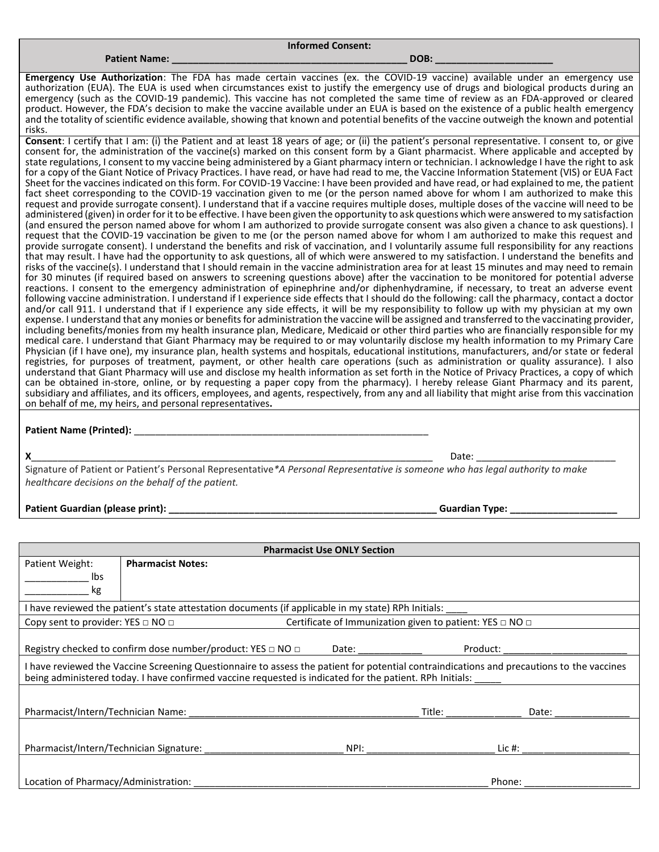## **Patient Name: DOB: DOB: DOB: DOB: DOB: DOB: DOB: DOB: DOB: DOB: DOB: DOB: DOB: DOB: DOB: DOB: DOB: DOB: DOB: DOB: DOB: DOB: DOB: DOB: DOB: DOB: DOB: DOB: DOB: DO**

**Informed Consent:**

**Emergency Use Authorization**: The FDA has made certain vaccines (ex. the COVID-19 vaccine) available under an emergency use authorization (EUA). The EUA is used when circumstances exist to justify the emergency use of drugs and biological products during an emergency (such as the COVID-19 pandemic). This vaccine has not completed the same time of review as an FDA-approved or cleared product. However, the FDA's decision to make the vaccine available under an EUA is based on the existence of a public health emergency and the totality of scientific evidence available, showing that known and potential benefits of the vaccine outweigh the known and potential risks.

**Consent**: I certify that I am: (i) the Patient and at least 18 years of age; or (ii) the patient's personal representative. I consent to, or give consent for, the administration of the vaccine(s) marked on this consent form by a Giant pharmacist. Where applicable and accepted by state regulations, I consent to my vaccine being administered by a Giant pharmacy intern or technician. I acknowledge I have the right to ask for a copy of the Giant Notice of Privacy Practices. I have read, or have had read to me, the Vaccine Information Statement (VIS) or EUA Fact Sheet for the vaccines indicated on this form. For COVID-19 Vaccine: I have been provided and have read, or had explained to me, the patient fact sheet corresponding to the COVID-19 vaccination given to me (or the person named above for whom I am authorized to make this request and provide surrogate consent). I understand that if a vaccine requires multiple doses, multiple doses of the vaccine will need to be administered (given) in order for it to be effective. I have been given the opportunity to ask questions which were answered to my satisfaction (and ensured the person named above for whom I am authorized to provide surrogate consent was also given a chance to ask questions). I request that the COVID-19 vaccination be given to me (or the person named above for whom I am authorized to make this request and provide surrogate consent). I understand the benefits and risk of vaccination, and I voluntarily assume full responsibility for any reactions that may result. I have had the opportunity to ask questions, all of which were answered to my satisfaction. I understand the benefits and risks of the vaccine(s). I understand that I should remain in the vaccine administration area for at least 15 minutes and may need to remain for 30 minutes (if required based on answers to screening questions above) after the vaccination to be monitored for potential adverse reactions. I consent to the emergency administration of epinephrine and/or diphenhydramine, if necessary, to treat an adverse event following vaccine administration. I understand if I experience side effects that I should do the following: call the pharmacy, contact a doctor and/or call 911. I understand that if I experience any side effects, it will be my responsibility to follow up with my physician at my own expense. I understand that any monies or benefits for administration the vaccine will be assigned and transferred to the vaccinating provider, including benefits/monies from my health insurance plan, Medicare, Medicaid or other third parties who are financially responsible for my medical care. I understand that Giant Pharmacy may be required to or may voluntarily disclose my health information to my Primary Care Physician (if I have one), my insurance plan, health systems and hospitals, educational institutions, manufacturers, and/or state or federal registries, for purposes of treatment, payment, or other health care operations (such as administration or quality assurance). I also understand that Giant Pharmacy will use and disclose my health information as set forth in the Notice of Privacy Practices, a copy of which can be obtained in-store, online, or by requesting a paper copy from the pharmacy). I hereby release Giant Pharmacy and its parent, subsidiary and affiliates, and its officers, employees, and agents, respectively, from any and all liability that might arise from this vaccination on behalf of me, my heirs, and personal representatives**.**

## Patient Name (Printed):

**X**\_\_\_\_\_\_\_\_\_\_\_\_\_\_\_\_\_\_\_\_\_\_\_\_\_\_\_\_\_\_\_\_\_\_\_\_\_\_\_\_\_\_\_\_\_\_\_\_\_\_\_\_\_\_\_\_\_\_\_\_\_\_\_\_\_\_\_\_\_\_\_\_\_\_\_ Date: \_\_\_\_\_\_\_\_\_\_\_\_\_\_\_\_\_\_\_\_\_\_\_\_\_\_

Signature of Patient or Patient's Personal Representative*\*A Personal Representative is someone who has legal authority to make healthcare decisions on the behalf of the patient.* 

**Patient Guardian (please print): \_\_\_\_\_\_\_\_\_\_\_\_\_\_\_\_\_\_\_\_\_\_\_\_\_\_\_\_\_\_\_\_\_\_\_\_\_\_\_\_\_\_\_\_\_\_\_\_\_\_ Guardian Type: \_\_\_\_\_\_\_\_\_\_\_\_\_\_\_\_\_\_\_\_**

| <b>Pharmacist Use ONLY Section</b>                                                                                                                                                                                                                    |                          |      |        |        |  |  |  |
|-------------------------------------------------------------------------------------------------------------------------------------------------------------------------------------------------------------------------------------------------------|--------------------------|------|--------|--------|--|--|--|
| Patient Weight:                                                                                                                                                                                                                                       | <b>Pharmacist Notes:</b> |      |        |        |  |  |  |
| lbs                                                                                                                                                                                                                                                   |                          |      |        |        |  |  |  |
| kg                                                                                                                                                                                                                                                    |                          |      |        |        |  |  |  |
| I have reviewed the patient's state attestation documents (if applicable in my state) RPh Initials:                                                                                                                                                   |                          |      |        |        |  |  |  |
| Certificate of Immunization given to patient: YES $\Box$ NO $\Box$<br>Copy sent to provider: YES $\Box$ NO $\Box$                                                                                                                                     |                          |      |        |        |  |  |  |
|                                                                                                                                                                                                                                                       |                          |      |        |        |  |  |  |
| Registry checked to confirm dose number/product: YES $\Box$ NO $\Box$<br>Date:<br>Product:                                                                                                                                                            |                          |      |        |        |  |  |  |
| I have reviewed the Vaccine Screening Questionnaire to assess the patient for potential contraindications and precautions to the vaccines<br>being administered today. I have confirmed vaccine requested is indicated for the patient. RPh Initials: |                          |      |        |        |  |  |  |
|                                                                                                                                                                                                                                                       |                          |      |        |        |  |  |  |
|                                                                                                                                                                                                                                                       |                          |      |        |        |  |  |  |
| Pharmacist/Intern/Technician Name:                                                                                                                                                                                                                    |                          |      | Title: | Date:  |  |  |  |
|                                                                                                                                                                                                                                                       |                          |      |        |        |  |  |  |
| Pharmacist/Intern/Technician Signature:                                                                                                                                                                                                               |                          | NPI: |        | Lic #: |  |  |  |
|                                                                                                                                                                                                                                                       |                          |      |        |        |  |  |  |
| Location of Pharmacy/Administration:<br>Phone:                                                                                                                                                                                                        |                          |      |        |        |  |  |  |